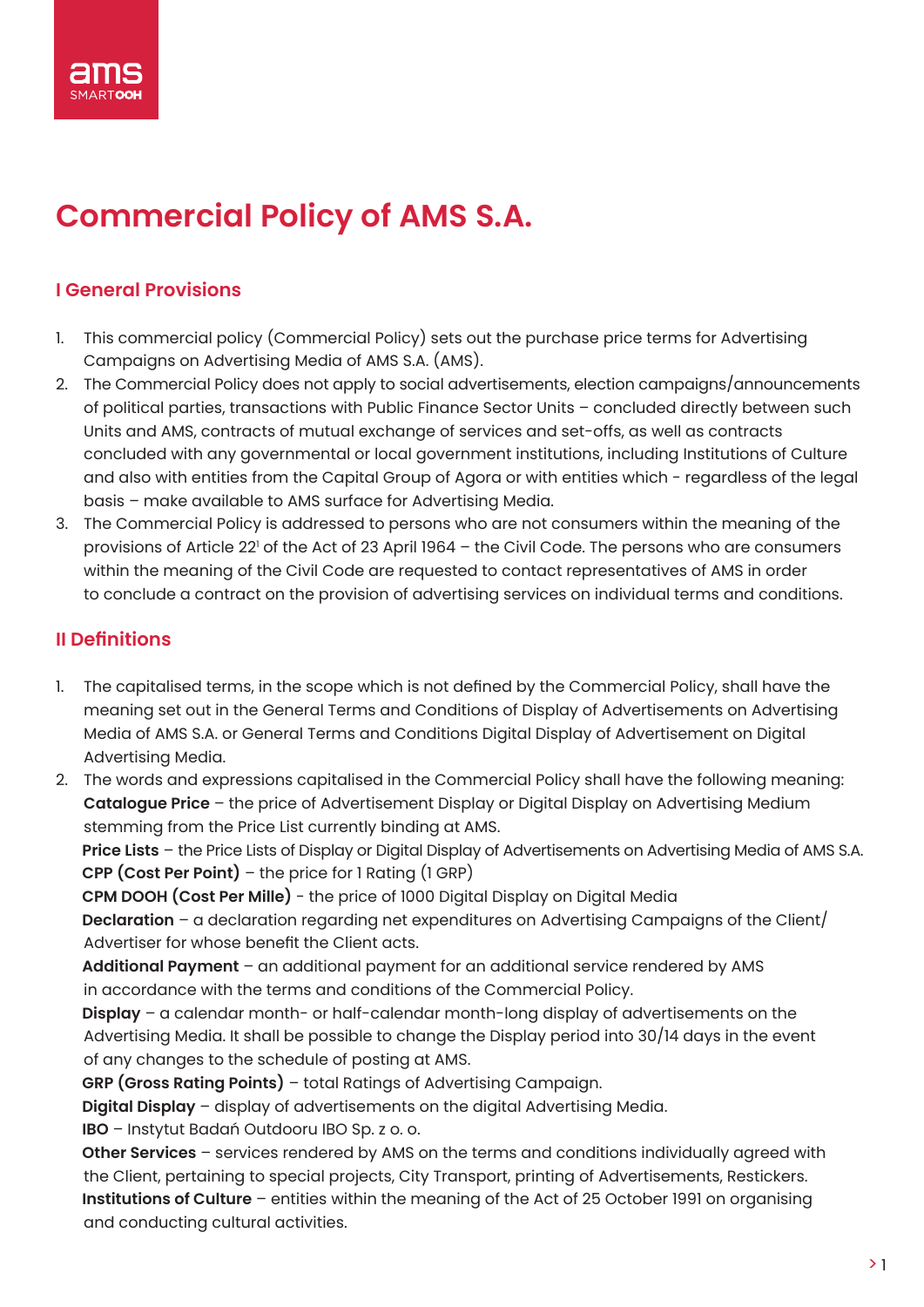

# **Commercial Policy of AMS S.A.**

## **I General Provisions**

- 1. This commercial policy (Commercial Policy) sets out the purchase price terms for Advertising Campaigns on Advertising Media of AMS S.A. (AMS).
- 2. The Commercial Policy does not apply to social advertisements, election campaigns/announcements of political parties, transactions with Public Finance Sector Units – concluded directly between such Units and AMS, contracts of mutual exchange of services and set-offs, as well as contracts concluded with any governmental or local government institutions, including Institutions of Culture and also with entities from the Capital Group of Agora or with entities which - regardless of the legal basis – make available to AMS surface for Advertising Media.
- 3. The Commercial Policy is addressed to persons who are not consumers within the meaning of the provisions of Article 22' of the Act of 23 April 1964 – the Civil Code. The persons who are consumers within the meaning of the Civil Code are requested to contact representatives of AMS in order to conclude a contract on the provision of advertising services on individual terms and conditions.

## **II Definitions**

- 1. The capitalised terms, in the scope which is not defined by the Commercial Policy, shall have the meaning set out in the General Terms and Conditions of Display of Advertisements on Advertising Media of AMS S.A. or General Terms and Conditions Digital Display of Advertisement on Digital Advertising Media.
- 2. The words and expressions capitalised in the Commercial Policy shall have the following meaning: **Catalogue Price** – the price of Advertisement Display or Digital Display on Advertising Medium stemming from the Price List currently binding at AMS.

**Price Lists** – the Price Lists of Display or Digital Display of Advertisements on Advertising Media of AMS S.A. **CPP (Cost Per Point)** – the price for 1 Rating (1 GRP)

**CPM DOOH (Cost Per Mille)** - the price of 1000 Digital Display on Digital Media **Declaration** – a declaration regarding net expenditures on Advertising Campaigns of the Client/ Advertiser for whose benefit the Client acts.

**Additional Payment** – an additional payment for an additional service rendered by AMS in accordance with the terms and conditions of the Commercial Policy.

**Display** – a calendar month- or half-calendar month-long display of advertisements on the Advertising Media. It shall be possible to change the Display period into 30/14 days in the event of any changes to the schedule of posting at AMS.

**GRP (Gross Rating Points)** – total Ratings of Advertising Campaign.

**Digital Display** – display of advertisements on the digital Advertising Media.

**IBO** – Instytut Badań Outdooru IBO Sp. z o. o.

**Other Services** – services rendered by AMS on the terms and conditions individually agreed with the Client, pertaining to special projects, City Transport, printing of Advertisements, Restickers. **Institutions of Culture** – entities within the meaning of the Act of 25 October 1991 on organising and conducting cultural activities.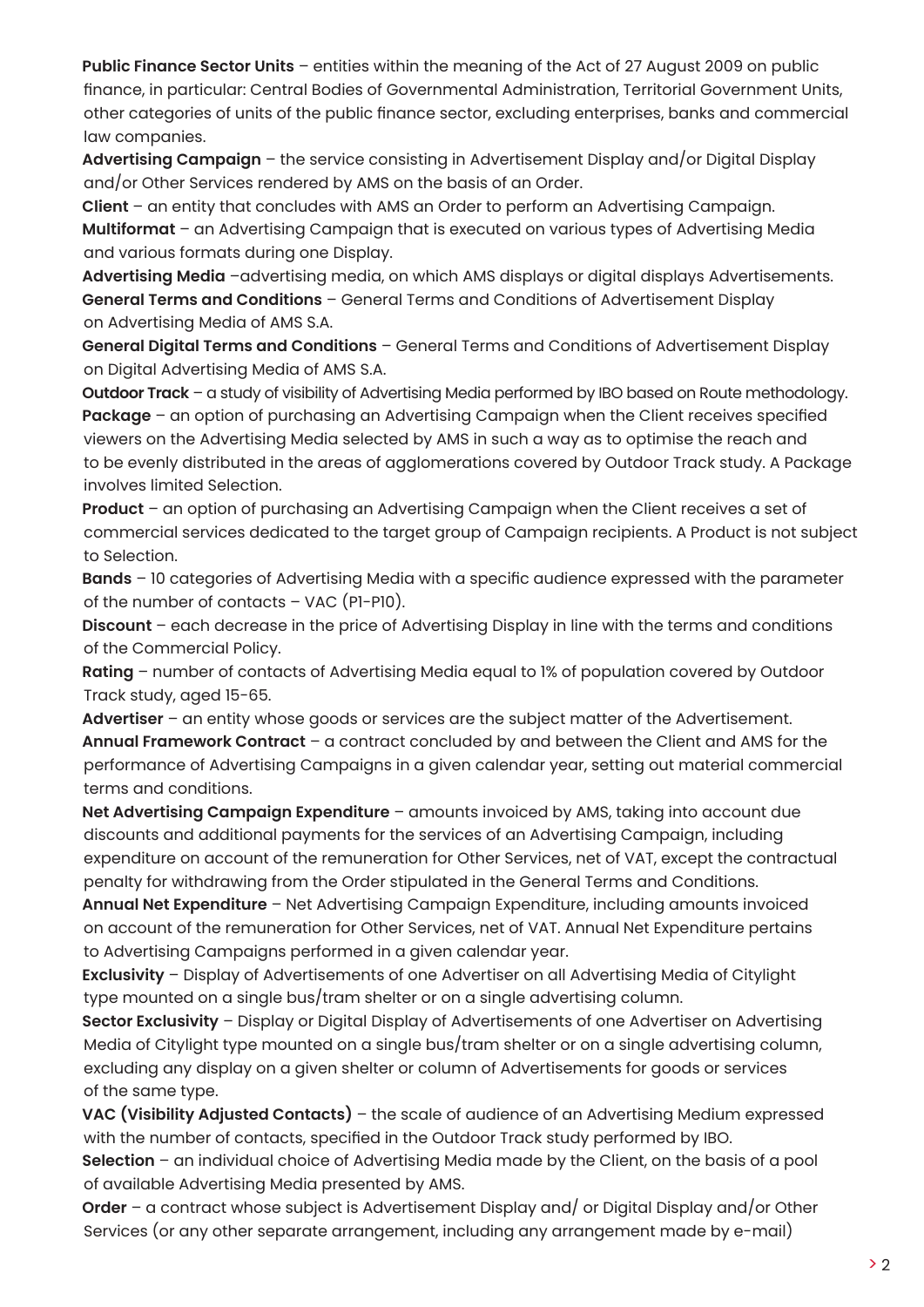**Public Finance Sector Units** – entities within the meaning of the Act of 27 August 2009 on public finance, in particular: Central Bodies of Governmental Administration, Territorial Government Units, other categories of units of the public finance sector, excluding enterprises, banks and commercial law companies.

**Advertising Campaign** – the service consisting in Advertisement Display and/or Digital Display and/or Other Services rendered by AMS on the basis of an Order.

**Client** – an entity that concludes with AMS an Order to perform an Advertising Campaign. **Multiformat** – an Advertising Campaign that is executed on various types of Advertising Media and various formats during one Display.

**Advertising Media** –advertising media, on which AMS displays or digital displays Advertisements. **General Terms and Conditions** – General Terms and Conditions of Advertisement Display on Advertising Media of AMS S.A.

**General Digital Terms and Conditions** – General Terms and Conditions of Advertisement Display on Digital Advertising Media of AMS S.A.

**Outdoor Track** – a study of visibility of Advertising Media performed by IBO based on Route methodology. **Package** – an option of purchasing an Advertising Campaign when the Client receives specified viewers on the Advertising Media selected by AMS in such a way as to optimise the reach and to be evenly distributed in the areas of agglomerations covered by Outdoor Track study. A Package involves limited Selection.

**Product** – an option of purchasing an Advertising Campaign when the Client receives a set of commercial services dedicated to the target group of Campaign recipients. A Product is not subject to Selection.

**Bands** – 10 categories of Advertising Media with a specific audience expressed with the parameter of the number of contacts – VAC (P1-P10).

**Discount** – each decrease in the price of Advertising Display in line with the terms and conditions of the Commercial Policy.

**Rating** – number of contacts of Advertising Media equal to 1% of population covered by Outdoor Track study, aged 15-65.

**Advertiser** – an entity whose goods or services are the subject matter of the Advertisement. **Annual Framework Contract** – a contract concluded by and between the Client and AMS for the performance of Advertising Campaigns in a given calendar year, setting out material commercial terms and conditions.

**Net Advertising Campaign Expenditure** – amounts invoiced by AMS, taking into account due discounts and additional payments for the services of an Advertising Campaign, including expenditure on account of the remuneration for Other Services, net of VAT, except the contractual penalty for withdrawing from the Order stipulated in the General Terms and Conditions.

**Annual Net Expenditure** – Net Advertising Campaign Expenditure, including amounts invoiced on account of the remuneration for Other Services, net of VAT. Annual Net Expenditure pertains to Advertising Campaigns performed in a given calendar year.

**Exclusivity** – Display of Advertisements of one Advertiser on all Advertising Media of Citylight type mounted on a single bus/tram shelter or on a single advertising column.

**Sector Exclusivity** – Display or Digital Display of Advertisements of one Advertiser on Advertising Media of Citylight type mounted on a single bus/tram shelter or on a single advertising column, excluding any display on a given shelter or column of Advertisements for goods or services of the same type.

**VAC (Visibility Adjusted Contacts)** – the scale of audience of an Advertising Medium expressed with the number of contacts, specified in the Outdoor Track study performed by IBO.

**Selection** – an individual choice of Advertising Media made by the Client, on the basis of a pool of available Advertising Media presented by AMS.

**Order** – a contract whose subject is Advertisement Display and/ or Digital Display and/or Other Services (or any other separate arrangement, including any arrangement made by e-mail)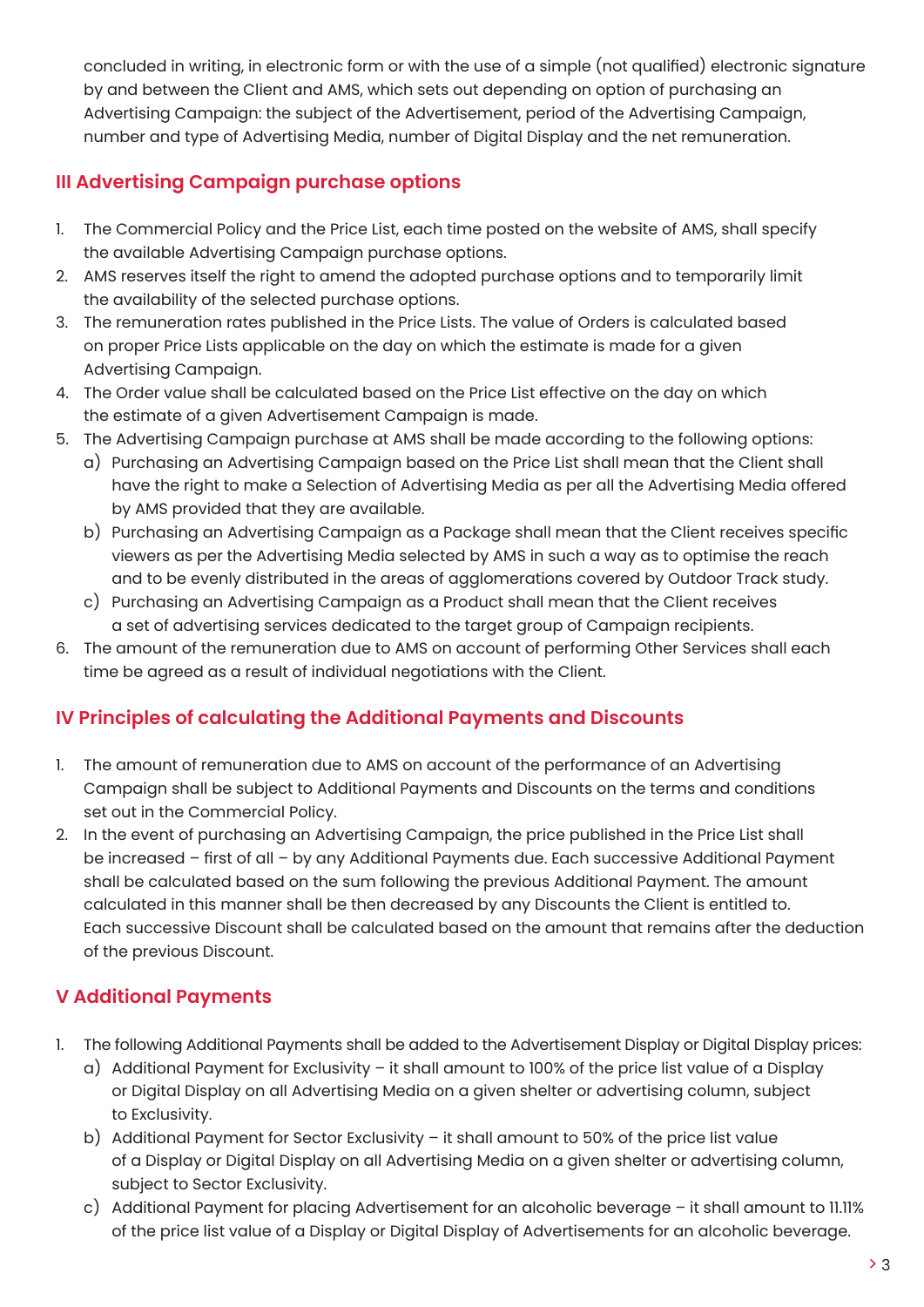concluded in writing, in electronic form or with the use of a simple (not qualified) electronic signature by and between the Client and AMS, which sets out depending on option of purchasing an Advertising Campaign: the subject of the Advertisement, period of the Advertising Campaign, number and type of Advertising Media, number of Digital Display and the net remuneration.

# **III Advertising Campaign purchase options**

- 1. The Commercial Policy and the Price List, each time posted on the website of AMS, shall specify the available Advertising Campaign purchase options.
- 2. AMS reserves itself the right to amend the adopted purchase options and to temporarily limit the availability of the selected purchase options.
- 3. The remuneration rates published in the Price Lists. The value of Orders is calculated based on proper Price Lists applicable on the day on which the estimate is made for a given Advertising Campaign.
- 4. The Order value shall be calculated based on the Price List effective on the day on which the estimate of a given Advertisement Campaign is made.
- 5. The Advertising Campaign purchase at AMS shall be made according to the following options:
	- a) Purchasing an Advertising Campaign based on the Price List shall mean that the Client shall have the right to make a Selection of Advertising Media as per all the Advertising Media offered by AMS provided that they are available.
	- b) Purchasing an Advertising Campaign as a Package shall mean that the Client receives specific viewers as per the Advertising Media selected by AMS in such a way as to optimise the reach and to be evenly distributed in the areas of agglomerations covered by Outdoor Track study.
	- c) Purchasing an Advertising Campaign as a Product shall mean that the Client receives a set of advertising services dedicated to the target group of Campaign recipients.
- 6. The amount of the remuneration due to AMS on account of performing Other Services shall each time be agreed as a result of individual negotiations with the Client.

# **IV Principles of calculating the Additional Payments and Discounts**

- 1. The amount of remuneration due to AMS on account of the performance of an Advertising Campaign shall be subject to Additional Payments and Discounts on the terms and conditions set out in the Commercial Policy.
- 2. In the event of purchasing an Advertising Campaign, the price published in the Price List shall be increased – first of all – by any Additional Payments due. Each successive Additional Payment shall be calculated based on the sum following the previous Additional Payment. The amount calculated in this manner shall be then decreased by any Discounts the Client is entitled to. Each successive Discount shall be calculated based on the amount that remains after the deduction of the previous Discount.

# **V Additional Payments**

- 1. The following Additional Payments shall be added to the Advertisement Display or Digital Display prices:
	- a) Additional Payment for Exclusivity it shall amount to 100% of the price list value of a Display or Digital Display on all Advertising Media on a given shelter or advertising column, subject to Exclusivity.
	- b) Additional Payment for Sector Exclusivity it shall amount to 50% of the price list value of a Display or Digital Display on all Advertising Media on a given shelter or advertising column, subject to Sector Exclusivity.
	- c) Additional Payment for placing Advertisement for an alcoholic beverage it shall amount to 11.11% of the price list value of a Display or Digital Display of Advertisements for an alcoholic beverage.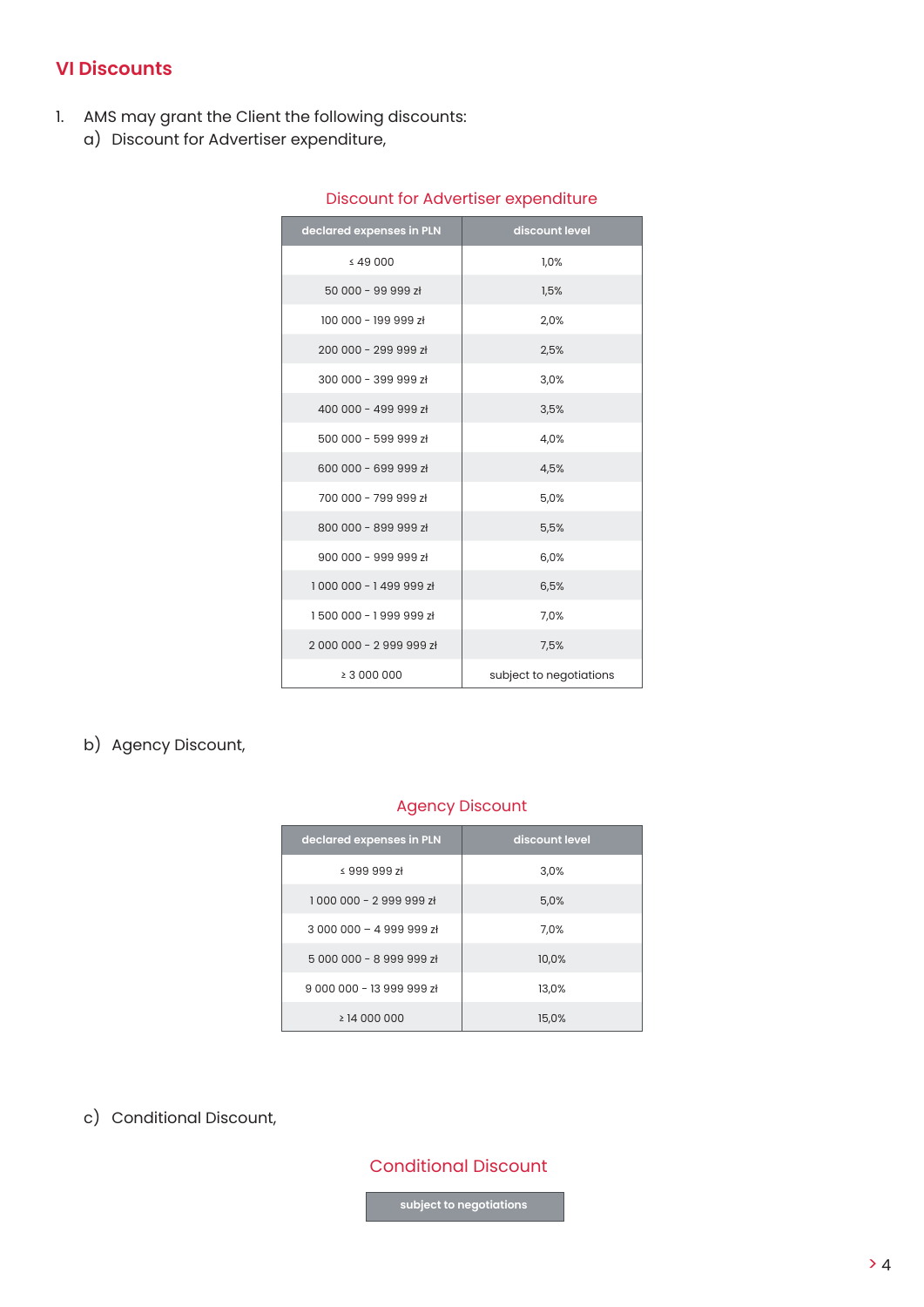## **VI Discounts**

- 1. AMS may grant the Client the following discounts:
	- a) Discount for Advertiser expenditure,

| declared expenses in PLN | discount level          |
|--------------------------|-------------------------|
| $\leq 49000$             | 1.0%                    |
| 50 000 - 99 999 zł       | 1,5%                    |
| 100 000 - 199 999 zł     | 2,0%                    |
| 200 000 - 299 999 zł     | 2,5%                    |
| 300 000 - 399 999 zł     | 3,0%                    |
| 400 000 - 499 999 zł     | 3,5%                    |
| 500 000 - 599 999 zł     | 4,0%                    |
| 600 000 - 699 999 zł     | 4,5%                    |
| 700 000 - 799 999 zł     | 5,0%                    |
| 800 000 - 899 999 zł     | 5,5%                    |
| 900 000 - 999 999 zł     | 6,0%                    |
| 1000 000 - 1499 999 zł   | 6,5%                    |
| 1500 000 - 1999 999 zł   | 7,0%                    |
| 2000 000 - 2999 999 zł   | 7,5%                    |
| ≥ 3 000 000              | subject to negotiations |

#### Discount for Advertiser expenditure

## b) Agency Discount,

#### Agency Discount

| declared expenses in PLN | discount level |
|--------------------------|----------------|
| $\leq$ 999 999 zł        | 3.0%           |
| 1000 000 - 2999 999 zł   | 5,0%           |
| $3000000 - 4999998$      | 7,0%           |
| 5000000 - 8999999 zł     | 10,0%          |
| $900000 - 13999997$      | 13,0%          |
| $\geq$ 14 000 000        | 15,0%          |

c) Conditional Discount,

## Conditional Discount

 **subject to negotiations**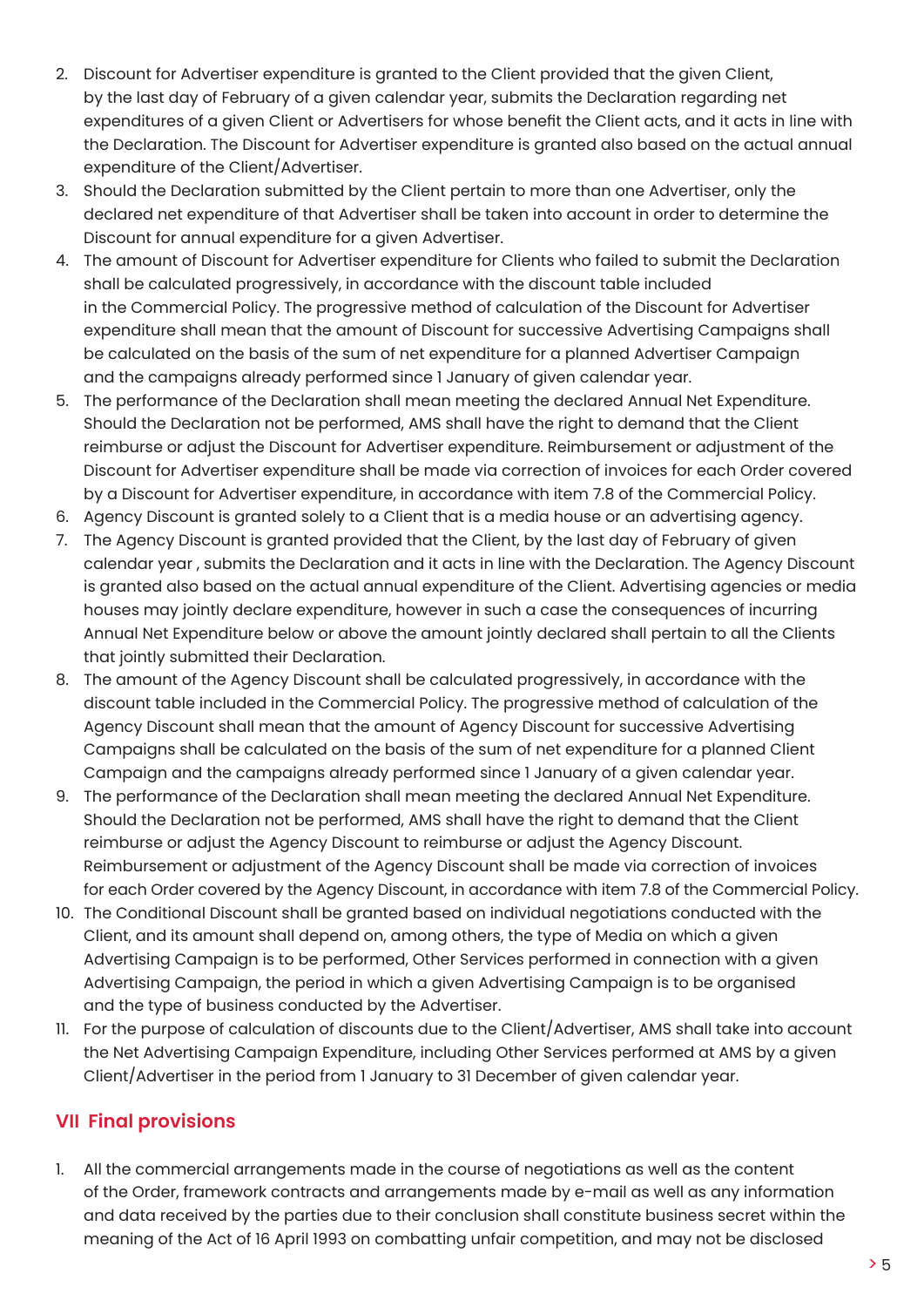- 2. Discount for Advertiser expenditure is granted to the Client provided that the given Client, by the last day of February of a given calendar year, submits the Declaration regarding net expenditures of a given Client or Advertisers for whose benefit the Client acts, and it acts in line with the Declaration. The Discount for Advertiser expenditure is granted also based on the actual annual expenditure of the Client/Advertiser.
- 3. Should the Declaration submitted by the Client pertain to more than one Advertiser, only the declared net expenditure of that Advertiser shall be taken into account in order to determine the Discount for annual expenditure for a given Advertiser.
- 4. The amount of Discount for Advertiser expenditure for Clients who failed to submit the Declaration shall be calculated progressively, in accordance with the discount table included in the Commercial Policy. The progressive method of calculation of the Discount for Advertiser expenditure shall mean that the amount of Discount for successive Advertising Campaigns shall be calculated on the basis of the sum of net expenditure for a planned Advertiser Campaign and the campaigns already performed since 1 January of given calendar year.
- 5. The performance of the Declaration shall mean meeting the declared Annual Net Expenditure. Should the Declaration not be performed, AMS shall have the right to demand that the Client reimburse or adjust the Discount for Advertiser expenditure. Reimbursement or adjustment of the Discount for Advertiser expenditure shall be made via correction of invoices for each Order covered by a Discount for Advertiser expenditure, in accordance with item 7.8 of the Commercial Policy.
- 6. Agency Discount is granted solely to a Client that is a media house or an advertising agency.
- 7. The Agency Discount is granted provided that the Client, by the last day of February of given calendar year , submits the Declaration and it acts in line with the Declaration. The Agency Discount is granted also based on the actual annual expenditure of the Client. Advertising agencies or media houses may jointly declare expenditure, however in such a case the consequences of incurring Annual Net Expenditure below or above the amount jointly declared shall pertain to all the Clients that jointly submitted their Declaration.
- 8. The amount of the Agency Discount shall be calculated progressively, in accordance with the discount table included in the Commercial Policy. The progressive method of calculation of the Agency Discount shall mean that the amount of Agency Discount for successive Advertising Campaigns shall be calculated on the basis of the sum of net expenditure for a planned Client Campaign and the campaigns already performed since 1 January of a given calendar year.
- 9. The performance of the Declaration shall mean meeting the declared Annual Net Expenditure. Should the Declaration not be performed, AMS shall have the right to demand that the Client reimburse or adjust the Agency Discount to reimburse or adjust the Agency Discount. Reimbursement or adjustment of the Agency Discount shall be made via correction of invoices for each Order covered by the Agency Discount, in accordance with item 7.8 of the Commercial Policy.
- 10. The Conditional Discount shall be granted based on individual negotiations conducted with the Client, and its amount shall depend on, among others, the type of Media on which a given Advertising Campaign is to be performed, Other Services performed in connection with a given Advertising Campaign, the period in which a given Advertising Campaign is to be organised and the type of business conducted by the Advertiser.
- 11. For the purpose of calculation of discounts due to the Client/Advertiser, AMS shall take into account the Net Advertising Campaign Expenditure, including Other Services performed at AMS by a given Client/Advertiser in the period from 1 January to 31 December of given calendar year.

# **VII Final provisions**

1. All the commercial arrangements made in the course of negotiations as well as the content of the Order, framework contracts and arrangements made by e-mail as well as any information and data received by the parties due to their conclusion shall constitute business secret within the meaning of the Act of 16 April 1993 on combatting unfair competition, and may not be disclosed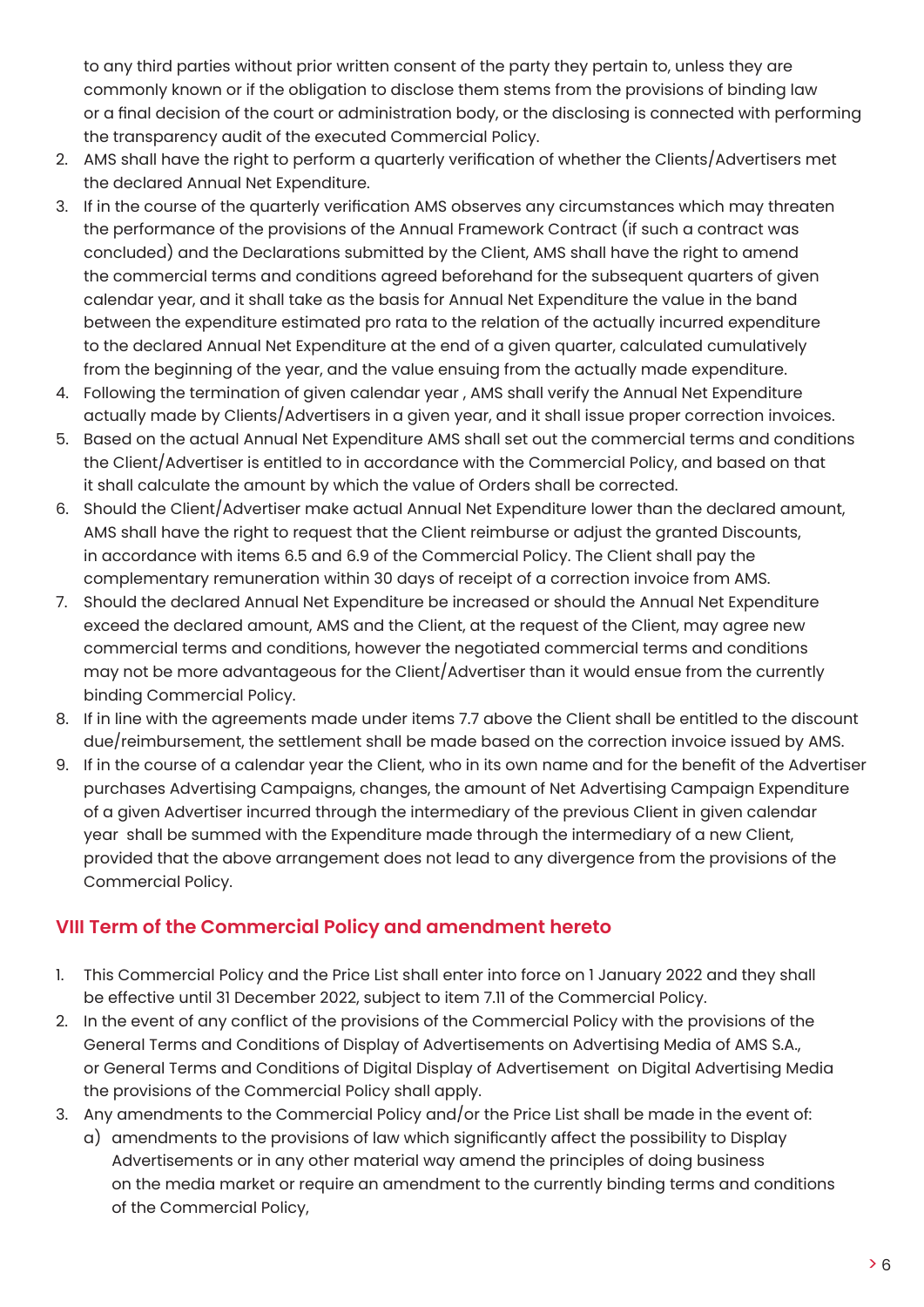to any third parties without prior written consent of the party they pertain to, unless they are commonly known or if the obligation to disclose them stems from the provisions of binding law or a final decision of the court or administration body, or the disclosing is connected with performing the transparency audit of the executed Commercial Policy.

- 2. AMS shall have the right to perform a quarterly verification of whether the Clients/Advertisers met the declared Annual Net Expenditure.
- 3. If in the course of the quarterly verification AMS observes any circumstances which may threaten the performance of the provisions of the Annual Framework Contract (if such a contract was concluded) and the Declarations submitted by the Client, AMS shall have the right to amend the commercial terms and conditions agreed beforehand for the subsequent quarters of given calendar year, and it shall take as the basis for Annual Net Expenditure the value in the band between the expenditure estimated pro rata to the relation of the actually incurred expenditure to the declared Annual Net Expenditure at the end of a given quarter, calculated cumulatively from the beginning of the year, and the value ensuing from the actually made expenditure.
- 4. Following the termination of given calendar year , AMS shall verify the Annual Net Expenditure actually made by Clients/Advertisers in a given year, and it shall issue proper correction invoices.
- 5. Based on the actual Annual Net Expenditure AMS shall set out the commercial terms and conditions the Client/Advertiser is entitled to in accordance with the Commercial Policy, and based on that it shall calculate the amount by which the value of Orders shall be corrected.
- 6. Should the Client/Advertiser make actual Annual Net Expenditure lower than the declared amount, AMS shall have the right to request that the Client reimburse or adjust the granted Discounts, in accordance with items 6.5 and 6.9 of the Commercial Policy. The Client shall pay the complementary remuneration within 30 days of receipt of a correction invoice from AMS.
- 7. Should the declared Annual Net Expenditure be increased or should the Annual Net Expenditure exceed the declared amount, AMS and the Client, at the request of the Client, may agree new commercial terms and conditions, however the negotiated commercial terms and conditions may not be more advantageous for the Client/Advertiser than it would ensue from the currently binding Commercial Policy.
- 8. If in line with the agreements made under items 7.7 above the Client shall be entitled to the discount due/reimbursement, the settlement shall be made based on the correction invoice issued by AMS.
- 9. If in the course of a calendar year the Client, who in its own name and for the benefit of the Advertiser purchases Advertising Campaigns, changes, the amount of Net Advertising Campaign Expenditure of a given Advertiser incurred through the intermediary of the previous Client in given calendar year shall be summed with the Expenditure made through the intermediary of a new Client, provided that the above arrangement does not lead to any divergence from the provisions of the Commercial Policy.

# **VIII Term of the Commercial Policy and amendment hereto**

- 1. This Commercial Policy and the Price List shall enter into force on 1 January 2022 and they shall be effective until 31 December 2022, subject to item 7.11 of the Commercial Policy.
- 2. In the event of any conflict of the provisions of the Commercial Policy with the provisions of the General Terms and Conditions of Display of Advertisements on Advertising Media of AMS S.A., or General Terms and Conditions of Digital Display of Advertisement on Digital Advertising Media the provisions of the Commercial Policy shall apply.
- 3. Any amendments to the Commercial Policy and/or the Price List shall be made in the event of: a) amendments to the provisions of law which significantly affect the possibility to Display Advertisements or in any other material way amend the principles of doing business on the media market or require an amendment to the currently binding terms and conditions